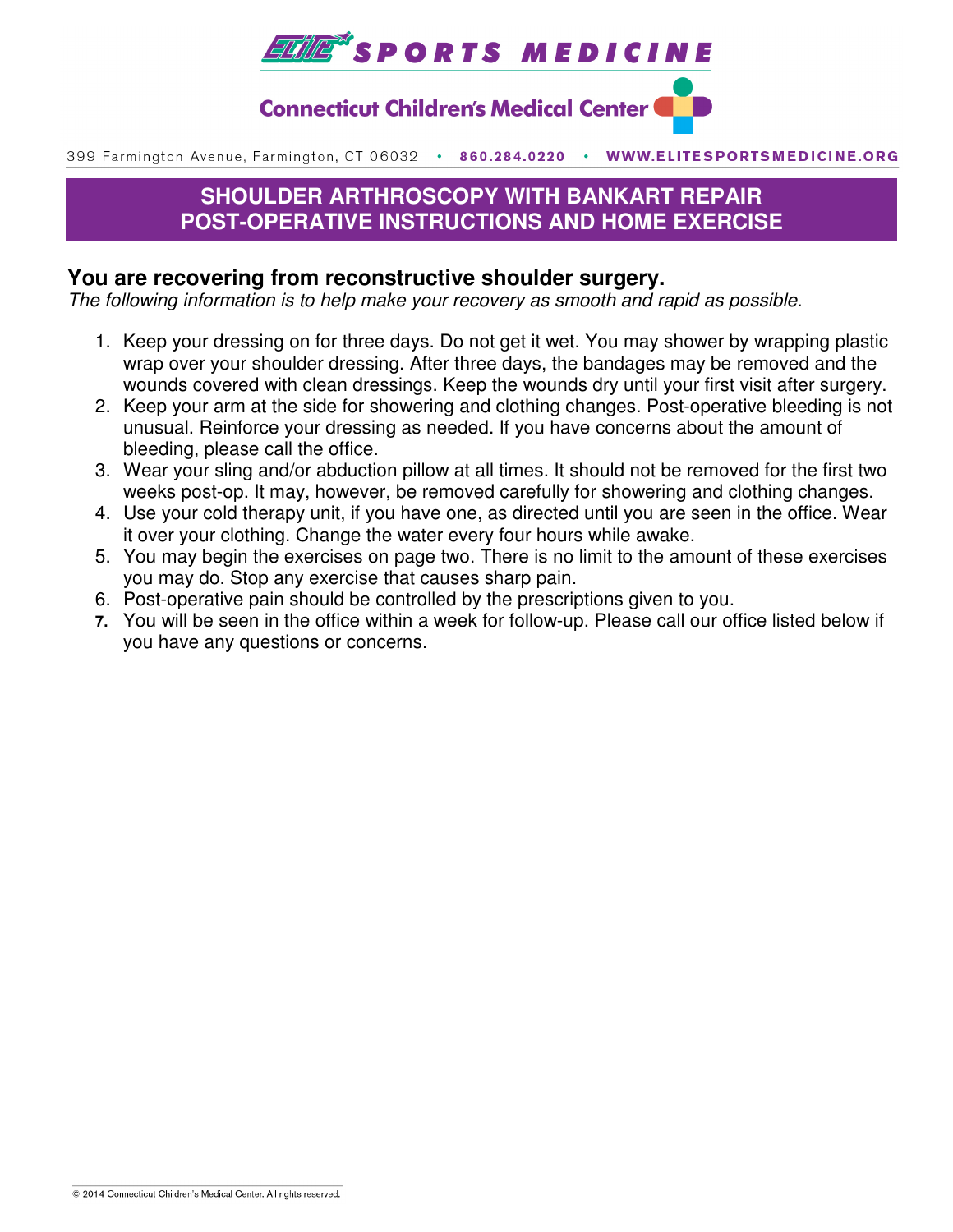

**Connecticut Children's Medical Center (** 

399 Farmington Avenue, Farmington, CT 06032 . 860.284.0220 WWW.ELITESPORTSMEDICINE.ORG

# **SHOULDER ARTHROSCOPY WITH BANKART REPAIR POST-OPERATIVE INSTRUCTIONS AND HOME EXERCISE**

### **You are recovering from reconstructive shoulder surgery.**

The following information is to help make your recovery as smooth and rapid as possible.

- 1. Keep your dressing on for three days. Do not get it wet. You may shower by wrapping plastic wrap over your shoulder dressing. After three days, the bandages may be removed and the wounds covered with clean dressings. Keep the wounds dry until your first visit after surgery.
- 2. Keep your arm at the side for showering and clothing changes. Post-operative bleeding is not unusual. Reinforce your dressing as needed. If you have concerns about the amount of bleeding, please call the office.
- 3. Wear your sling and/or abduction pillow at all times. It should not be removed for the first two weeks post-op. It may, however, be removed carefully for showering and clothing changes.
- 4. Use your cold therapy unit, if you have one, as directed until you are seen in the office. Wear it over your clothing. Change the water every four hours while awake.
- 5. You may begin the exercises on page two. There is no limit to the amount of these exercises you may do. Stop any exercise that causes sharp pain.
- 6. Post-operative pain should be controlled by the prescriptions given to you.
- **7.** You will be seen in the office within a week for follow-up. Please call our office listed below if you have any questions or concerns.